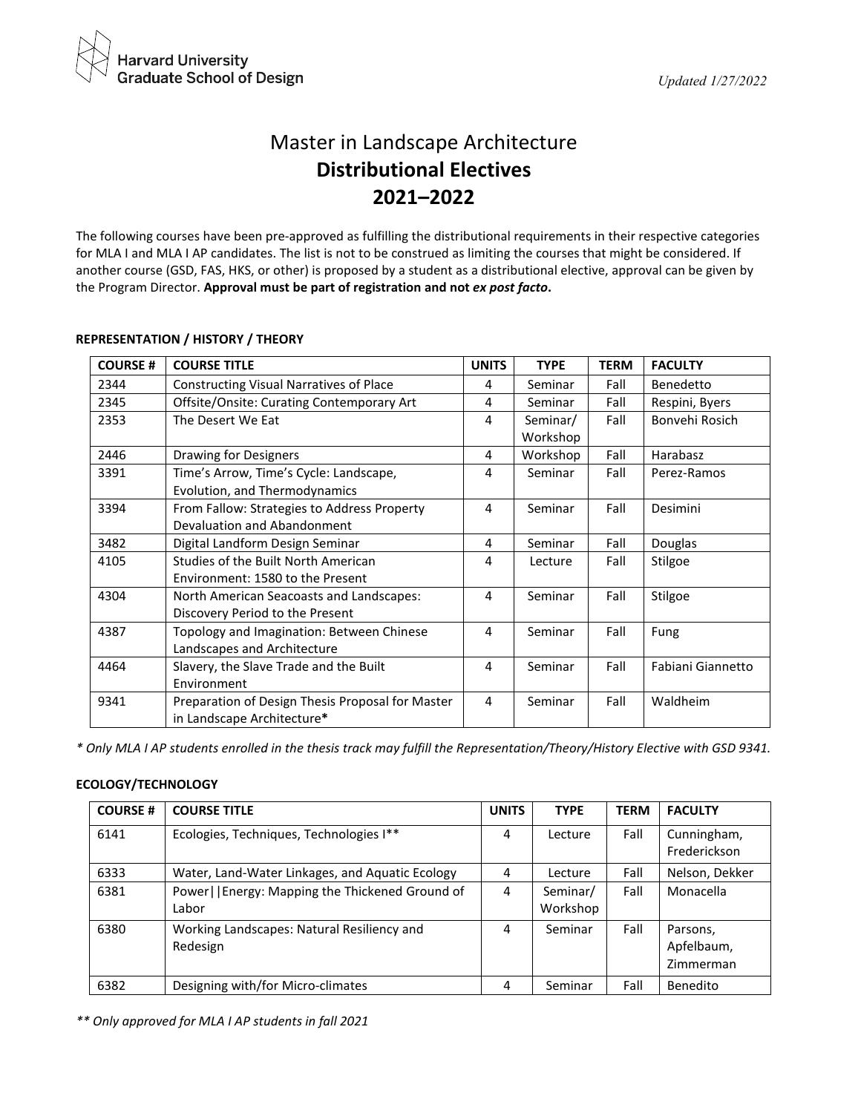

# Master in Landscape Architecture **Distributional Electives 2021–2022**

The following courses have been pre-approved as fulfilling the distributional requirements in their respective categories for MLA I and MLA I AP candidates. The list is not to be construed as limiting the courses that might be considered. If another course (GSD, FAS, HKS, or other) is proposed by a student as a distributional elective, approval can be given by the Program Director. **Approval must be part of registration and not** *ex post facto***.**

| <b>COURSE#</b> | <b>COURSE TITLE</b>                              | <b>UNITS</b> | <b>TYPE</b> | <b>TERM</b> | <b>FACULTY</b>    |
|----------------|--------------------------------------------------|--------------|-------------|-------------|-------------------|
| 2344           | <b>Constructing Visual Narratives of Place</b>   | 4            | Seminar     | Fall        | Benedetto         |
| 2345           | Offsite/Onsite: Curating Contemporary Art        | 4            | Seminar     | Fall        | Respini, Byers    |
| 2353           | The Desert We Eat                                | 4            | Seminar/    | Fall        | Bonvehi Rosich    |
|                |                                                  |              | Workshop    |             |                   |
| 2446           | Drawing for Designers                            | 4            | Workshop    | Fall        | Harabasz          |
| 3391           | Time's Arrow, Time's Cycle: Landscape,           | 4            | Seminar     | Fall        | Perez-Ramos       |
|                | Evolution, and Thermodynamics                    |              |             |             |                   |
| 3394           | From Fallow: Strategies to Address Property      | 4            | Seminar     | Fall        | Desimini          |
|                | Devaluation and Abandonment                      |              |             |             |                   |
| 3482           | Digital Landform Design Seminar                  | 4            | Seminar     | Fall        | Douglas           |
| 4105           | Studies of the Built North American              | 4            | Lecture     | Fall        | Stilgoe           |
|                | Environment: 1580 to the Present                 |              |             |             |                   |
| 4304           | North American Seacoasts and Landscapes:         | 4            | Seminar     | Fall        | Stilgoe           |
|                | Discovery Period to the Present                  |              |             |             |                   |
| 4387           | Topology and Imagination: Between Chinese        | 4            | Seminar     | Fall        | Fung              |
|                | Landscapes and Architecture                      |              |             |             |                   |
| 4464           | Slavery, the Slave Trade and the Built           | 4            | Seminar     | Fall        | Fabiani Giannetto |
|                | Environment                                      |              |             |             |                   |
| 9341           | Preparation of Design Thesis Proposal for Master | 4            | Seminar     | Fall        | Waldheim          |
|                | in Landscape Architecture*                       |              |             |             |                   |

## **REPRESENTATION / HISTORY / THEORY**

*\* Only MLA I AP students enrolled in the thesis track may fulfill the Representation/Theory/History Elective with GSD 9341.*

### **ECOLOGY/TECHNOLOGY**

| <b>COURSE#</b> | <b>COURSE TITLE</b>                                        | <b>UNITS</b> | <b>TYPE</b>          | <b>TERM</b> | <b>FACULTY</b>                      |
|----------------|------------------------------------------------------------|--------------|----------------------|-------------|-------------------------------------|
| 6141           | Ecologies, Techniques, Technologies I**                    | 4            | Lecture              | Fall        | Cunningham,<br>Frederickson         |
| 6333           | Water, Land-Water Linkages, and Aquatic Ecology            | 4            | Lecture              | Fall        | Nelson, Dekker                      |
| 6381           | Power     Energy: Mapping the Thickened Ground of<br>Labor | 4            | Seminar/<br>Workshop | Fall        | Monacella                           |
| 6380           | Working Landscapes: Natural Resiliency and<br>Redesign     | 4            | Seminar              | Fall        | Parsons,<br>Apfelbaum,<br>Zimmerman |
| 6382           | Designing with/for Micro-climates                          | 4            | Seminar              | Fall        | Benedito                            |

*\*\* Only approved for MLA I AP students in fall 2021*